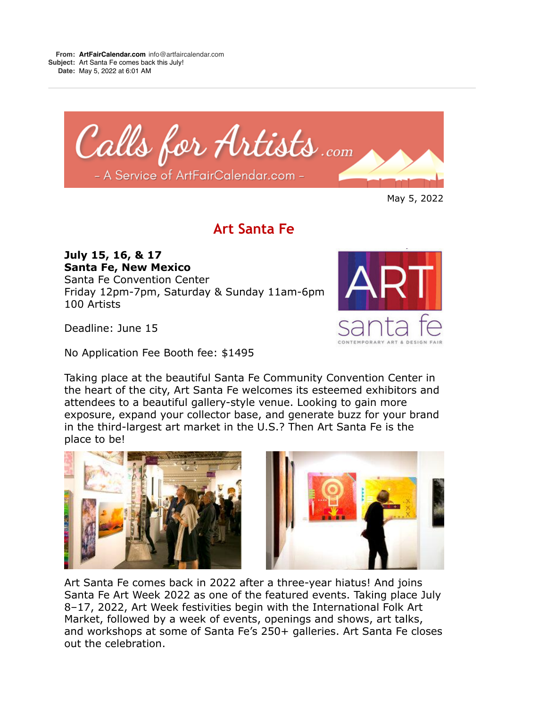

May 5, 2022

## **Art Santa Fe**

## **July 15, 16, & 17 Santa Fe, New Mexico**

Santa Fe Convention Center Friday 12pm-7pm, Saturday & Sunday 11am-6pm 100 Artists

Deadline: June 15

No Application Fee Booth fee: \$1495

Taking place at the beautiful Santa Fe Community Convention Center in the heart of the city, Art Santa Fe welcomes its esteemed exhibitors and attendees to a beautiful gallery-style venue. Looking to gain more exposure, expand your collector base, and generate buzz for your brand in the third-largest art market in the U.S.? Then Art Santa Fe is the place to be!





Art Santa Fe comes back in 2022 after a three-year hiatus! And joins Santa Fe Art Week 2022 as one of the featured events. Taking place July 8–17, 2022, Art Week festivities begin with the International Folk Art Market, followed by a week of events, openings and shows, art talks, and workshops at some of Santa Fe's 250+ galleries. Art Santa Fe closes out the celebration.